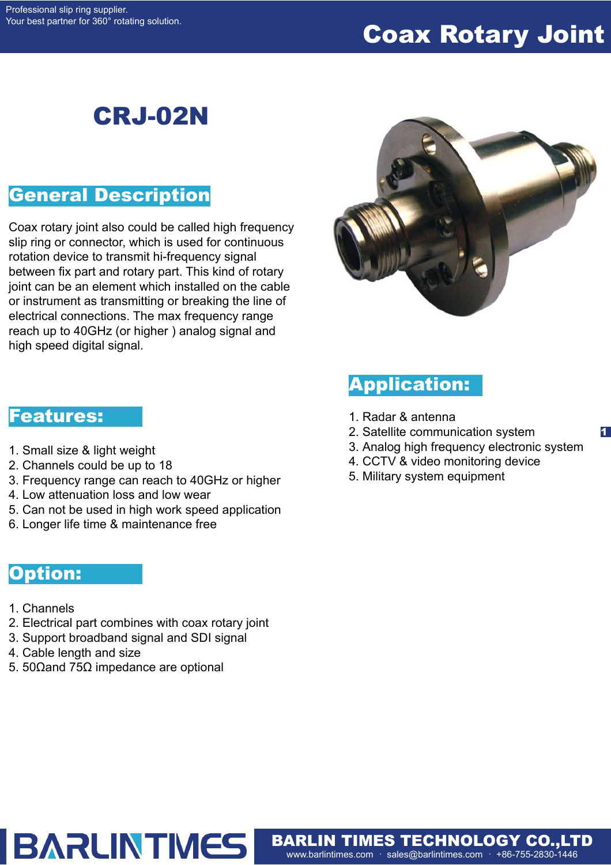# Coax Rotary Joint

# CRJ-02N

## General Description

Coax rotary joint also could be called high frequency slip ring or connector, which is used for continuous rotation device to transmit hi-frequency signal between fix part and rotary part. This kind of rotary joint can be an element which installed on the cable or instrument as transmitting or breaking the line of electrical connections. The max frequency range reach up to 40GHz (or higher ) analog signal and high speed digital signal.



### Application:

- 1. Radar & antenna
- 2. Satellite communication system
- 3. Analog high frequency electronic system

1

- 4. CCTV & video monitoring device
- 5. Military system equipment

www.barlintimes.com · sales@barlintimes.com · +86-755-2830-1446 BARLIN TIMES TECHNOLOGY CO.,LTD

#### Features:

- 1. Small size & light weight
- 2. Channels could be up to 18
- 3. Frequency range can reach to 40GHz or higher
- 4. Low attenuation loss and low wear
- 5. Can not be used in high work speed application
- 6. Longer life time & maintenance free

#### Option:

- 1. Channels
- 2. Electrical part combines with coax rotary joint
- 3. Support broadband signal and SDI signal

**BARLINTMES** 

- 4. Cable length and size
- 5. 50Ωand 75Ω impedance are optional